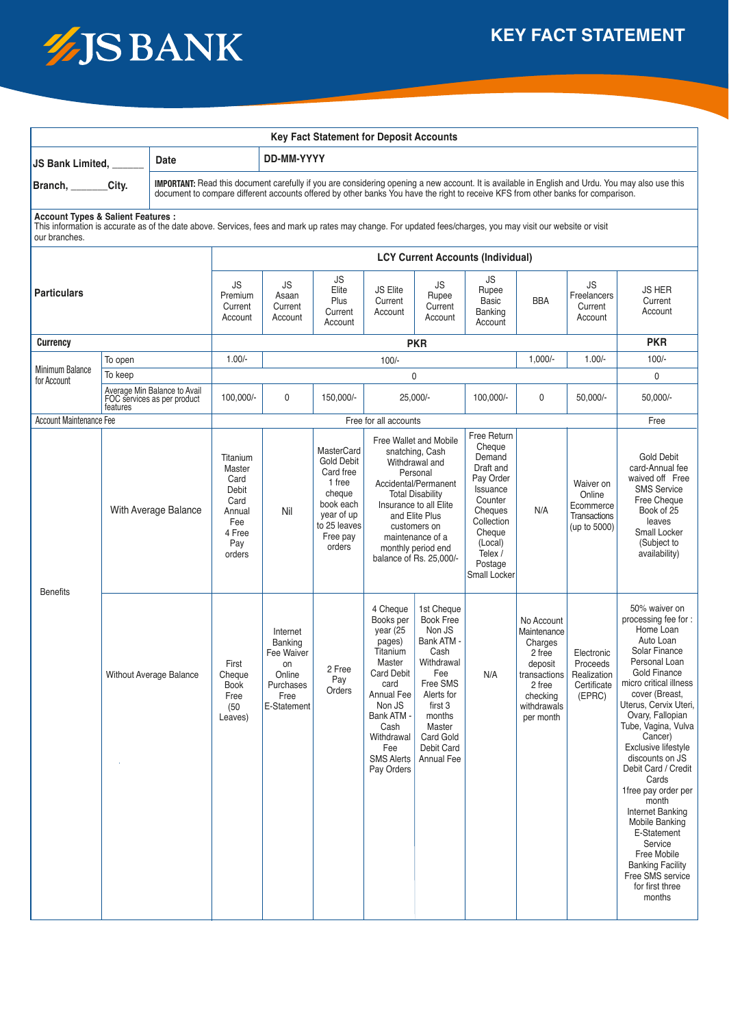

| <b>Key Fact Statement for Deposit Accounts</b>                                                                                                                                                                                |                                                                                                                                                                                                                                                                                      |                                            |                                                                                         |                                                                                       |                                                                                                                                          |                                                                                                                                                                                                                                                             |                                                                                                                                                                                              |                                                                                                                                                                      |                                                                                                                               |                                                                         |                                                                                                                                                                                                                                                                                                                                                                                                                                                                                                                         |
|-------------------------------------------------------------------------------------------------------------------------------------------------------------------------------------------------------------------------------|--------------------------------------------------------------------------------------------------------------------------------------------------------------------------------------------------------------------------------------------------------------------------------------|--------------------------------------------|-----------------------------------------------------------------------------------------|---------------------------------------------------------------------------------------|------------------------------------------------------------------------------------------------------------------------------------------|-------------------------------------------------------------------------------------------------------------------------------------------------------------------------------------------------------------------------------------------------------------|----------------------------------------------------------------------------------------------------------------------------------------------------------------------------------------------|----------------------------------------------------------------------------------------------------------------------------------------------------------------------|-------------------------------------------------------------------------------------------------------------------------------|-------------------------------------------------------------------------|-------------------------------------------------------------------------------------------------------------------------------------------------------------------------------------------------------------------------------------------------------------------------------------------------------------------------------------------------------------------------------------------------------------------------------------------------------------------------------------------------------------------------|
| Date<br><b>JS Bank Limited,</b>                                                                                                                                                                                               |                                                                                                                                                                                                                                                                                      | <b>DD-MM-YYYY</b>                          |                                                                                         |                                                                                       |                                                                                                                                          |                                                                                                                                                                                                                                                             |                                                                                                                                                                                              |                                                                                                                                                                      |                                                                                                                               |                                                                         |                                                                                                                                                                                                                                                                                                                                                                                                                                                                                                                         |
| Branch, City.                                                                                                                                                                                                                 | IMPORTANT: Read this document carefully if you are considering opening a new account. It is available in English and Urdu. You may also use this<br>document to compare different accounts offered by other banks You have the right to receive KFS from other banks for comparison. |                                            |                                                                                         |                                                                                       |                                                                                                                                          |                                                                                                                                                                                                                                                             |                                                                                                                                                                                              |                                                                                                                                                                      |                                                                                                                               |                                                                         |                                                                                                                                                                                                                                                                                                                                                                                                                                                                                                                         |
| <b>Account Types &amp; Salient Features:</b><br>This information is accurate as of the date above. Services, fees and mark up rates may change. For updated fees/charges, you may visit our website or visit<br>our branches. |                                                                                                                                                                                                                                                                                      |                                            |                                                                                         |                                                                                       |                                                                                                                                          |                                                                                                                                                                                                                                                             |                                                                                                                                                                                              |                                                                                                                                                                      |                                                                                                                               |                                                                         |                                                                                                                                                                                                                                                                                                                                                                                                                                                                                                                         |
| <b>Particulars</b>                                                                                                                                                                                                            |                                                                                                                                                                                                                                                                                      |                                            |                                                                                         |                                                                                       |                                                                                                                                          |                                                                                                                                                                                                                                                             |                                                                                                                                                                                              |                                                                                                                                                                      |                                                                                                                               |                                                                         |                                                                                                                                                                                                                                                                                                                                                                                                                                                                                                                         |
|                                                                                                                                                                                                                               |                                                                                                                                                                                                                                                                                      | <b>JS</b><br>Premium<br>Current<br>Account | <b>JS</b><br>Asaan<br>Current<br>Account                                                | JS<br>Elite<br>Plus<br>Current<br>Account                                             | JS Elite<br>Current<br>Account                                                                                                           | <b>JS</b><br>Rupee<br>Current<br>Account                                                                                                                                                                                                                    | JS<br>Rupee<br><b>Basic</b><br>Banking<br>Account                                                                                                                                            | <b>BBA</b>                                                                                                                                                           | <b>JS</b><br>Freelancers<br>Current<br>Account                                                                                | <b>JS HER</b><br>Current<br>Account                                     |                                                                                                                                                                                                                                                                                                                                                                                                                                                                                                                         |
| <b>Currency</b>                                                                                                                                                                                                               |                                                                                                                                                                                                                                                                                      |                                            | <b>PKR</b>                                                                              |                                                                                       |                                                                                                                                          |                                                                                                                                                                                                                                                             |                                                                                                                                                                                              |                                                                                                                                                                      |                                                                                                                               |                                                                         | <b>PKR</b>                                                                                                                                                                                                                                                                                                                                                                                                                                                                                                              |
| <b>Minimum Balance</b>                                                                                                                                                                                                        | To open                                                                                                                                                                                                                                                                              |                                            | $1.00/-$<br>$100/-$                                                                     |                                                                                       |                                                                                                                                          |                                                                                                                                                                                                                                                             |                                                                                                                                                                                              |                                                                                                                                                                      | $1,000/-$                                                                                                                     | $1.00/-$                                                                | $100/-$                                                                                                                                                                                                                                                                                                                                                                                                                                                                                                                 |
| for Account                                                                                                                                                                                                                   | To keep                                                                                                                                                                                                                                                                              |                                            |                                                                                         |                                                                                       |                                                                                                                                          | $\mathbf 0$                                                                                                                                                                                                                                                 |                                                                                                                                                                                              |                                                                                                                                                                      |                                                                                                                               |                                                                         | 0                                                                                                                                                                                                                                                                                                                                                                                                                                                                                                                       |
|                                                                                                                                                                                                                               | Average Min Balance to Avail<br>FOC services as per product<br>features                                                                                                                                                                                                              |                                            | 100,000/-                                                                               | 0                                                                                     | 150,000/-                                                                                                                                | 25,000/-<br>100,000/-                                                                                                                                                                                                                                       |                                                                                                                                                                                              | 0                                                                                                                                                                    | $50,000/-$                                                                                                                    | $50,000/-$                                                              |                                                                                                                                                                                                                                                                                                                                                                                                                                                                                                                         |
| Account Maintenance Fee                                                                                                                                                                                                       |                                                                                                                                                                                                                                                                                      |                                            |                                                                                         |                                                                                       |                                                                                                                                          | Free for all accounts                                                                                                                                                                                                                                       |                                                                                                                                                                                              |                                                                                                                                                                      |                                                                                                                               |                                                                         | Free                                                                                                                                                                                                                                                                                                                                                                                                                                                                                                                    |
| <b>Benefits</b>                                                                                                                                                                                                               | With Average Balance                                                                                                                                                                                                                                                                 |                                            | Titanium<br>Master<br>Card<br>Debit<br>Card<br>Annual<br>Fee<br>4 Free<br>Pay<br>orders | Nil                                                                                   | <b>MasterCard</b><br><b>Gold Debit</b><br>Card free<br>1 free<br>cheque<br>book each<br>year of up<br>to 25 leaves<br>Free pay<br>orders | Free Wallet and Mobile<br>snatching, Cash<br>Withdrawal and<br>Personal<br>Accidental/Permanent<br><b>Total Disability</b><br>Insurance to all Elite<br>and Elite Plus<br>customers on<br>maintenance of a<br>monthly period end<br>balance of Rs. 25,000/- |                                                                                                                                                                                              | Free Return<br>Cheque<br>Demand<br>Draft and<br>Pay Order<br>Issuance<br>Counter<br>Cheques<br>Collection<br>Cheque<br>(Local)<br>Telex /<br>Postage<br>Small Locker | N/A                                                                                                                           | Waiver on<br>Online<br>Ecommerce<br><b>Transactions</b><br>(up to 5000) | Gold Debit<br>card-Annual fee<br>waived off Free<br><b>SMS Service</b><br>Free Cheque<br>Book of 25<br>leaves<br>Small Locker<br>(Subject to<br>availability)                                                                                                                                                                                                                                                                                                                                                           |
|                                                                                                                                                                                                                               | Without Average Balance                                                                                                                                                                                                                                                              |                                            | First<br>Cheque<br><b>Book</b><br>Free<br>(50)<br>Leaves)                               | Internet<br>Banking<br>Fee Waiver<br>on<br>Online<br>Purchases<br>Free<br>E-Statement | 2 Free<br>Pay<br>Orders                                                                                                                  | 4 Cheque<br>Books per<br>year $(25)$<br>pages)<br>Titanium<br>Master<br>Card Debit<br>card<br>Annual Fee<br>Non JS<br>Bank ATM -<br>Cash<br>Withdrawal<br>Fee<br><b>SMS Alerts</b><br>Pay Orders                                                            | 1st Cheque<br><b>Book Free</b><br>Non JS<br>Bank ATM -<br>Cash<br>Withdrawal<br>Fee<br>Free SMS<br>Alerts for<br>first 3<br>months<br>Master<br>Card Gold<br>Debit Card<br><b>Annual Fee</b> | N/A                                                                                                                                                                  | No Account<br>Maintenance<br>Charges<br>2 free<br>deposit<br>transactions  <br>2 free<br>checking<br>withdrawals<br>per month | Electronic<br>Proceeds<br>Realization<br>Certificate<br>(EPRC)          | 50% waiver on<br>processing fee for:<br>Home Loan<br>Auto Loan<br>Solar Finance<br>Personal Loan<br>Gold Finance<br>micro critical illness<br>cover (Breast,<br>Uterus, Cervix Uteri,<br>Ovary, Fallopian<br>Tube, Vagina, Vulva<br>Cancer)<br>Exclusive lifestyle<br>discounts on JS<br>Debit Card / Credit<br>Cards<br>1free pay order per<br>month<br>Internet Banking<br><b>Mobile Banking</b><br>E-Statement<br>Service<br>Free Mobile<br><b>Banking Facility</b><br>Free SMS service<br>for first three<br>months |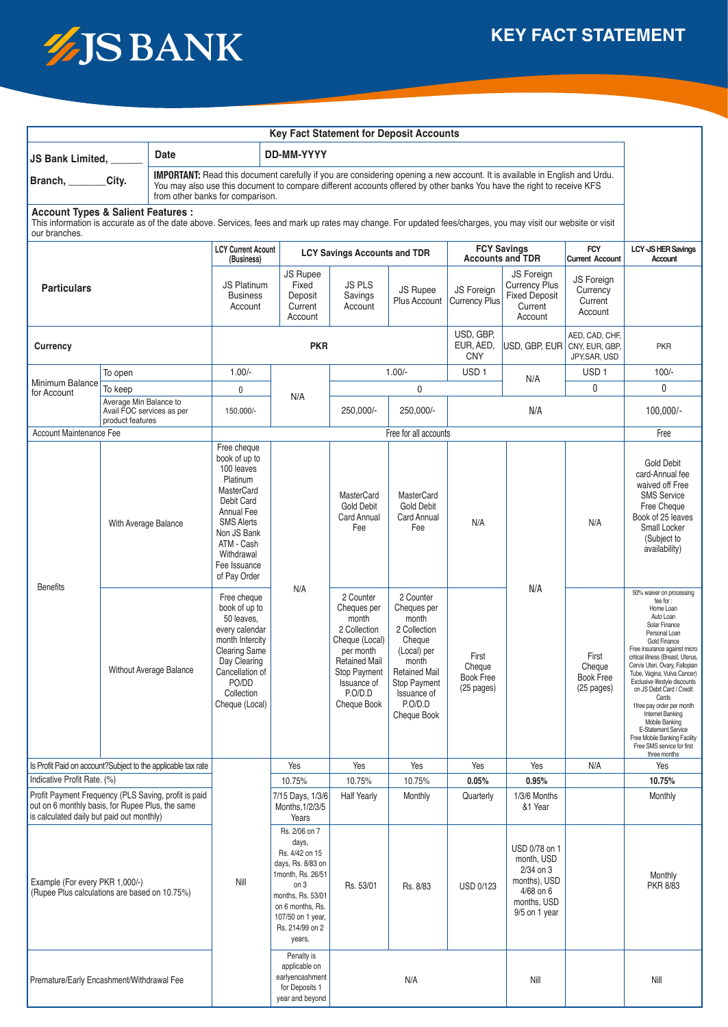

## **Key Fact Statement for Deposit Accounts**

| Date<br><b>JS Bank Limited, _</b>                                                                                                                                                                                                                                                                                   |                                                                         |                                | DD-MM-YYYY                                                                                                                                                                                       |                                                                                     |                                                                                                                                                                   |                                                                                                                                                                      |                                                                                                           |                                                                                  |                                                                               |                                                                                                                                                                                                                                                                                                                                                                                                                                                                                                              |
|---------------------------------------------------------------------------------------------------------------------------------------------------------------------------------------------------------------------------------------------------------------------------------------------------------------------|-------------------------------------------------------------------------|--------------------------------|--------------------------------------------------------------------------------------------------------------------------------------------------------------------------------------------------|-------------------------------------------------------------------------------------|-------------------------------------------------------------------------------------------------------------------------------------------------------------------|----------------------------------------------------------------------------------------------------------------------------------------------------------------------|-----------------------------------------------------------------------------------------------------------|----------------------------------------------------------------------------------|-------------------------------------------------------------------------------|--------------------------------------------------------------------------------------------------------------------------------------------------------------------------------------------------------------------------------------------------------------------------------------------------------------------------------------------------------------------------------------------------------------------------------------------------------------------------------------------------------------|
| IMPORTANT: Read this document carefully if you are considering opening a new account. It is available in English and Urdu.<br>Branch, _______<br>City.<br>You may also use this document to compare different accounts offered by other banks You have the right to receive KFS<br>from other banks for comparison. |                                                                         |                                |                                                                                                                                                                                                  |                                                                                     |                                                                                                                                                                   |                                                                                                                                                                      |                                                                                                           |                                                                                  |                                                                               |                                                                                                                                                                                                                                                                                                                                                                                                                                                                                                              |
| <b>Account Types &amp; Salient Features:</b><br>This information is accurate as of the date above. Services, fees and mark up rates may change. For updated fees/charges, you may visit our website or visit<br>our branches.                                                                                       |                                                                         |                                |                                                                                                                                                                                                  |                                                                                     |                                                                                                                                                                   |                                                                                                                                                                      |                                                                                                           |                                                                                  |                                                                               |                                                                                                                                                                                                                                                                                                                                                                                                                                                                                                              |
| <b>Particulars</b>                                                                                                                                                                                                                                                                                                  |                                                                         |                                | <b>LCY Current Acount</b><br>(Business)                                                                                                                                                          |                                                                                     | <b>LCY Savings Accounts and TDR</b>                                                                                                                               |                                                                                                                                                                      |                                                                                                           | <b>FCY Savings</b><br><b>Accounts and TDR</b>                                    |                                                                               | <b>LCY-JS HER Savings</b><br>Account                                                                                                                                                                                                                                                                                                                                                                                                                                                                         |
|                                                                                                                                                                                                                                                                                                                     |                                                                         |                                | <b>JS Platinum</b><br><b>Business</b><br>Account                                                                                                                                                 | <b>JS Rupee</b><br>Fixed<br>Deposit<br>Current<br>Account                           | JS PLS<br>Savings<br>Account                                                                                                                                      | <b>JS Rupee</b><br>Plus Account                                                                                                                                      | JS Foreign<br><b>Currency Plus</b>                                                                        | JS Foreign<br><b>Currency Plus</b><br><b>Fixed Deposit</b><br>Current<br>Account | <b>Current Account</b><br><b>JS Foreign</b><br>Currency<br>Current<br>Account |                                                                                                                                                                                                                                                                                                                                                                                                                                                                                                              |
| Currency                                                                                                                                                                                                                                                                                                            |                                                                         |                                | <b>PKR</b>                                                                                                                                                                                       |                                                                                     |                                                                                                                                                                   |                                                                                                                                                                      | USD, GBP,<br>EUR, AED,<br><b>CNY</b>                                                                      | USD, GBP, EUR CNY, EUR, GBP,                                                     | AED, CAD, CHF,<br>JPY, SAR, USD                                               | <b>PKR</b>                                                                                                                                                                                                                                                                                                                                                                                                                                                                                                   |
|                                                                                                                                                                                                                                                                                                                     | To open                                                                 |                                | $1.00/-$                                                                                                                                                                                         |                                                                                     | $1.00/-$                                                                                                                                                          |                                                                                                                                                                      | USD <sub>1</sub>                                                                                          | N/A                                                                              | USD <sub>1</sub>                                                              | $100/-$                                                                                                                                                                                                                                                                                                                                                                                                                                                                                                      |
| Minimum Balance<br>for Account                                                                                                                                                                                                                                                                                      | To keep                                                                 |                                | 0                                                                                                                                                                                                | N/A                                                                                 | 0                                                                                                                                                                 |                                                                                                                                                                      |                                                                                                           |                                                                                  | 0                                                                             | 0                                                                                                                                                                                                                                                                                                                                                                                                                                                                                                            |
|                                                                                                                                                                                                                                                                                                                     | Average Min Balance to<br>Avail FOC services as per<br>product features |                                | 150,000/-                                                                                                                                                                                        |                                                                                     | 250,000/-                                                                                                                                                         | 250.000/-                                                                                                                                                            |                                                                                                           | N/A                                                                              |                                                                               | $100,000/-$                                                                                                                                                                                                                                                                                                                                                                                                                                                                                                  |
| Account Maintenance Fee                                                                                                                                                                                                                                                                                             |                                                                         |                                |                                                                                                                                                                                                  |                                                                                     |                                                                                                                                                                   | Free for all accounts                                                                                                                                                |                                                                                                           | Free                                                                             |                                                                               |                                                                                                                                                                                                                                                                                                                                                                                                                                                                                                              |
| <b>Benefits</b>                                                                                                                                                                                                                                                                                                     | With Average Balance                                                    |                                | Free cheque<br>book of up to<br>100 leaves<br>Platinum<br>MasterCard<br>Debit Card<br>Annual Fee<br><b>SMS Alerts</b><br>Non JS Bank<br>ATM - Cash<br>Withdrawal<br>Fee Issuance<br>of Pay Order |                                                                                     | MasterCard<br><b>Gold Debit</b><br>Card Annual<br>Fee                                                                                                             | MasterCard<br><b>Gold Debit</b><br>Card Annual<br>Fee                                                                                                                | N/A                                                                                                       |                                                                                  | N/A                                                                           | <b>Gold Debit</b><br>card-Annual fee<br>waived off Free<br><b>SMS Service</b><br>Free Cheque<br>Book of 25 leaves<br>Small Locker<br>(Subject to<br>availability)                                                                                                                                                                                                                                                                                                                                            |
|                                                                                                                                                                                                                                                                                                                     |                                                                         | <b>Without Average Balance</b> | Free cheque<br>book of up to<br>50 leaves,<br>every calendar<br>month Intercity<br><b>Clearing Same</b><br>Day Clearing<br>Cancellation of<br>PO/DD<br>Collection<br>Cheque (Local)              | N/A                                                                                 | 2 Counter<br>Cheques per<br>month<br>2 Collection<br>Cheque (Local)<br>per month<br><b>Retained Mail</b><br>Stop Payment<br>Issuance of<br>P.O/D.D<br>Cheque Book | 2 Counter<br>Cheques per<br>month<br>2 Collection<br>Cheque<br>(Local) per<br>month<br><b>Retained Mail</b><br>Stop Payment<br>Issuance of<br>P.O/D.D<br>Cheque Book | First<br>Cheque<br>Book Free<br>(25 pages)                                                                | N/A                                                                              | First<br>Cheque<br><b>Book Free</b><br>(25 pages)                             | 50% waiver on processing<br>fee for:<br>Home Loan<br>Auto Loan<br>Solar Finance<br>Personal Loan<br>Gold Finance<br>Free insurance against micro<br>critical illness (Breast, Uterus,<br>Cervix Uteri, Ovary, Fallopian<br>Tube, Vagina, Vulva Cancer)<br>Exclusive lifestyle discounts<br>on JS Debit Card / Credit<br>Cards<br>1free pay order per month<br><b>Internet Banking</b><br>Mobile Banking<br>E-Statement Service<br>Free Mobile Banking Facility<br>Free SMS service for first<br>three months |
| Is Profit Paid on account?Subject to the applicable tax rate                                                                                                                                                                                                                                                        |                                                                         |                                |                                                                                                                                                                                                  | Yes                                                                                 | Yes                                                                                                                                                               | Yes                                                                                                                                                                  | Yes                                                                                                       | Yes                                                                              | N/A                                                                           | Yes                                                                                                                                                                                                                                                                                                                                                                                                                                                                                                          |
| Indicative Profit Rate. (%)<br>Profit Payment Frequency (PLS Saving, profit is paid<br>out on 6 monthly basis, for Rupee Plus, the same<br>is calculated daily but paid out monthly)                                                                                                                                |                                                                         |                                | 10.75%<br>7/15 Days, 1/3/6<br>Months, 1/2/3/5<br>Years                                                                                                                                           | 10.75%<br><b>Half Yearly</b>                                                        | 10.75%<br>Monthly                                                                                                                                                 | 0.05%<br>Quarterly                                                                                                                                                   | 0.95%<br>1/3/6 Months<br>&1 Year                                                                          |                                                                                  | 10.75%<br>Monthly                                                             |                                                                                                                                                                                                                                                                                                                                                                                                                                                                                                              |
| Example (For every PKR 1,000/-)<br>(Rupee Plus calculations are based on 10.75%)                                                                                                                                                                                                                                    |                                                                         | Nill                           | Rs. 2/06 on 7<br>days,<br>Rs. 4/42 on 15<br>days, Rs. 8/83 on<br>1month, Rs. 26/51<br>on 3<br>months, Rs. 53/01<br>on 6 months, Rs.<br>107/50 on 1 year,<br>Rs. 214/99 on 2<br>years,            | Rs. 53/01                                                                           | Rs. 8/83                                                                                                                                                          | USD 0/123                                                                                                                                                            | USD 0/78 on 1<br>month, USD<br>$2/34$ on $3$<br>months), USD<br>4/68 on 6<br>months, USD<br>9/5 on 1 year |                                                                                  | Monthly<br>PKR 8/83                                                           |                                                                                                                                                                                                                                                                                                                                                                                                                                                                                                              |
| Premature/Early Encashment/Withdrawal Fee                                                                                                                                                                                                                                                                           |                                                                         |                                |                                                                                                                                                                                                  | Penalty is<br>applicable on<br>earlyencashment<br>for Deposits 1<br>year and beyond |                                                                                                                                                                   | N/A                                                                                                                                                                  |                                                                                                           | Nill                                                                             |                                                                               | Nill                                                                                                                                                                                                                                                                                                                                                                                                                                                                                                         |